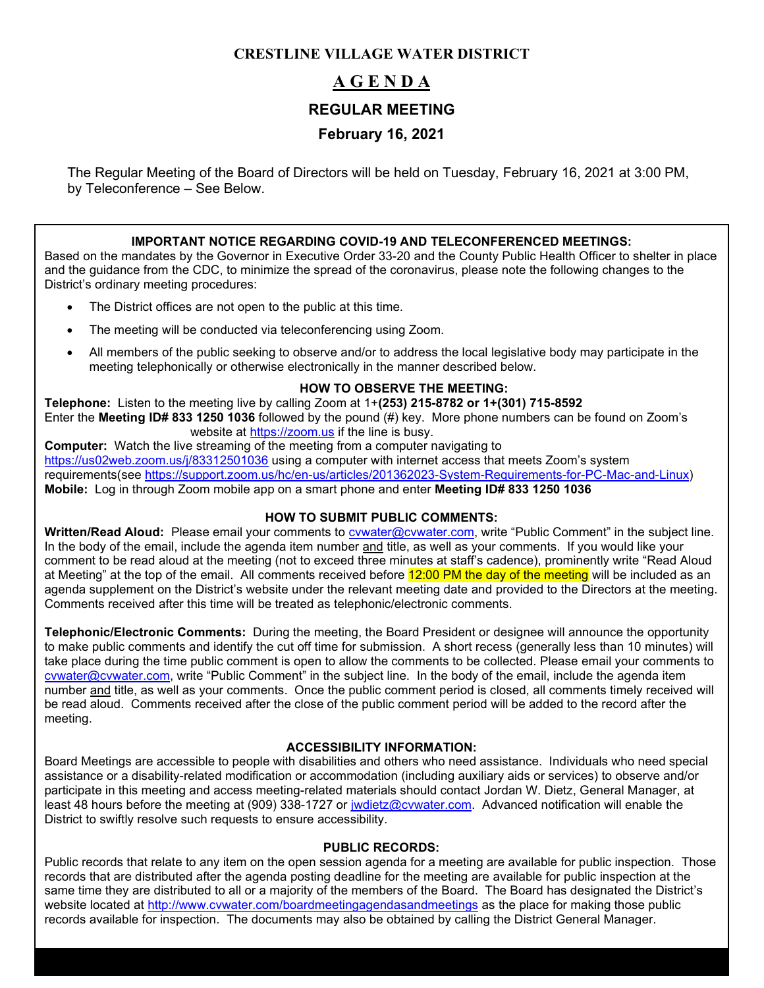# **CRESTLINE VILLAGE WATER DISTRICT**

# **A G E N D A REGULAR MEETING February 16, 2021**

The Regular Meeting of the Board of Directors will be held on Tuesday, February 16, 2021 at 3:00 PM, by Teleconference – See Below.

### **IMPORTANT NOTICE REGARDING COVID-19 AND TELECONFERENCED MEETINGS:**

Based on the mandates by the Governor in Executive Order 33-20 and the County Public Health Officer to shelter in place and the guidance from the CDC, to minimize the spread of the coronavirus, please note the following changes to the District's ordinary meeting procedures:

- The District offices are not open to the public at this time.
- The meeting will be conducted via teleconferencing using Zoom.
- All members of the public seeking to observe and/or to address the local legislative body may participate in the meeting telephonically or otherwise electronically in the manner described below.

### **HOW TO OBSERVE THE MEETING:**

**Telephone:** Listen to the meeting live by calling Zoom at 1+**(253) 215-8782 or 1+(301) 715-8592** Enter the **Meeting ID# 833 1250 1036** followed by the pound (#) key. More phone numbers can be found on Zoom's website at [https://zoom.us](https://zoom.us/) if the line is busy.

**Computer:** Watch the live streaming of the meeting from a computer navigating to <https://us02web.zoom.us/j/83312501036> using a computer with internet access that meets Zoom's system requirements(see [https://support.zoom.us/hc/en-us/articles/201362023-System-Requirements-for-PC-Mac-and-Linux\)](https://support.zoom.us/hc/en-us/articles/201362023-System-Requirements-for-PC-Mac-and-Linux) **Mobile:** Log in through Zoom mobile app on a smart phone and enter **Meeting ID# 833 1250 1036**

### **HOW TO SUBMIT PUBLIC COMMENTS:**

**Written/Read Aloud:** Please email your comments to [cvwater@cvwater.com,](mailto:cvwater@cvwater.com) write "Public Comment" in the subject line. In the body of the email, include the agenda item number and title, as well as your comments. If you would like your comment to be read aloud at the meeting (not to exceed three minutes at staff's cadence), prominently write "Read Aloud at Meeting" at the top of the email. All comments received before 12:00 PM the day of the meeting will be included as an agenda supplement on the District's website under the relevant meeting date and provided to the Directors at the meeting. Comments received after this time will be treated as telephonic/electronic comments.

**Telephonic/Electronic Comments:** During the meeting, the Board President or designee will announce the opportunity to make public comments and identify the cut off time for submission. A short recess (generally less than 10 minutes) will take place during the time public comment is open to allow the comments to be collected. Please email your comments to [cvwater@cvwater.com,](mailto:cvwater@cvwater.com) write "Public Comment" in the subject line. In the body of the email, include the agenda item number and title, as well as your comments. Once the public comment period is closed, all comments timely received will be read aloud. Comments received after the close of the public comment period will be added to the record after the meeting.

### **ACCESSIBILITY INFORMATION:**

Board Meetings are accessible to people with disabilities and others who need assistance. Individuals who need special assistance or a disability-related modification or accommodation (including auxiliary aids or services) to observe and/or participate in this meeting and access meeting-related materials should contact Jordan W. Dietz, General Manager, at least 48 hours before the meeting at (909) 338-1727 or [jwdietz@cvwater.com.](mailto:jwdietz@cvwater.com) Advanced notification will enable the District to swiftly resolve such requests to ensure accessibility.

#### **PUBLIC RECORDS:**

Public records that relate to any item on the open session agenda for a meeting are available for public inspection. Those records that are distributed after the agenda posting deadline for the meeting are available for public inspection at the same time they are distributed to all or a majority of the members of the Board. The Board has designated the District's website located at<http://www.cvwater.com/boardmeetingagendasandmeetings> as the place for making those public records available for inspection. The documents may also be obtained by calling the District General Manager.